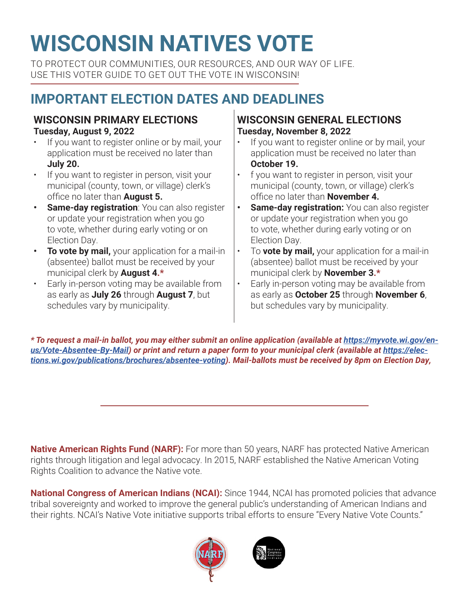# **WISCONSIN NATIVES VOTE**

TO PROTECT OUR COMMUNITIES, OUR RESOURCES, AND OUR WAY OF LIFE. USE THIS VOTER GUIDE TO GET OUT THE VOTE IN WISCONSIN!

# **IMPORTANT ELECTION DATES AND DEADLINES**

#### **WISCONSIN PRIMARY ELECTIONS Tuesday, August 9, 2022**

- If you want to register online or by mail, your application must be received no later than **July 20.**
- If you want to register in person, visit your municipal (county, town, or village) clerk's office no later than **August 5.**
- **• Same-day registration**: You can also register or update your registration when you go to vote, whether during early voting or on Election Day.
- **• To vote by mail,** your application for a mail-in (absentee) ballot must be received by your municipal clerk by **August 4.\***
- Early in-person voting may be available from as early as **July 26** through **August 7**, but schedules vary by municipality.

### **WISCONSIN GENERAL ELECTIONS Tuesday, November 8, 2022**

- If you want to register online or by mail, your application must be received no later than **October 19.**
- f you want to register in person, visit your municipal (county, town, or village) clerk's office no later than **November 4.**
- **• Same-day registration:** You can also register or update your registration when you go to vote, whether during early voting or on Election Day.
- To **vote by mail,** your application for a mail-in (absentee) ballot must be received by your municipal clerk by **November 3.\***
- Early in-person voting may be available from as early as **October 25** through **November 6**, but schedules vary by municipality.

*\* To request a mail-in ballot, you may either submit an online application (available at https://myvote.wi.gov/enus/Vote-Absentee-By-Mail) or print and return a paper form to your municipal clerk (available at https://elections.wi.gov/publications/brochures/absentee-voting). Mail-ballots must be received by 8pm on Election Day,* 

**Native American Rights Fund (NARF):** For more than 50 years, NARF has protected Native American rights through litigation and legal advocacy. In 2015, NARF established the Native American Voting Rights Coalition to advance the Native vote.

**National Congress of American Indians (NCAI):** Since 1944, NCAI has promoted policies that advance tribal sovereignty and worked to improve the general public's understanding of American Indians and their rights. NCAI's Native Vote initiative supports tribal efforts to ensure "Every Native Vote Counts."



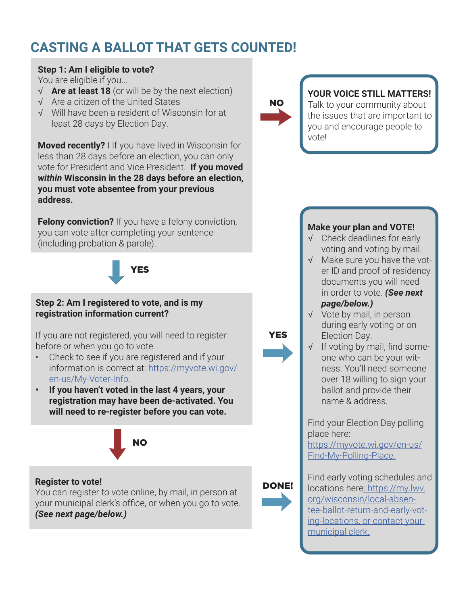# **CASTING A BALLOT THAT GETS COUNTED!**

#### **Step 1: Am I eligible to vote?**

You are eligible if you...

- √ **Are at least 18** (or will be by the next election)
- √ Are a citizen of the United States
- √ Will have been a resident of Wisconsin for at least 28 days by Election Day.

**Moved recently?** I If you have lived in Wisconsin for less than 28 days before an election, you can only vote for President and Vice President. **If you moved**  *within* **Wisconsin in the 28 days before an election, you must vote absentee from your previous address.** 

**Felony conviction?** If you have a felony conviction, you can vote after completing your sentence (including probation & parole).

YES

#### **Step 2: Am I registered to vote, and is my registration information current?**

If you are not registered, you will need to register before or when you go to vote.

- Check to see if you are registered and if your information is correct at: https://myvote.wi.gov/ en-us/My-Voter-Info.
- **• If you haven't voted in the last 4 years, your registration may have been de-activated. You will need to re-register before you can vote.**



#### **Register to vote!**

You can register to vote online, by mail, in person at your municipal clerk's office, or when you go to vote. *(See next page/below.)*



YES

DONE!

### **YOUR VOICE STILL MATTERS!**

Talk to your community about the issues that are important to you and encourage people to vote!

#### **Make your plan and VOTE!**

- √ Check deadlines for early voting and voting by mail.
- √ Make sure you have the voter ID and proof of residency documents you will need in order to vote. *(See next page/below.)*
- √ Vote by mail, in person during early voting or on Election Day.
- √ If voting by mail, find someone who can be your witness. You'll need someone over 18 willing to sign your ballot and provide their name & address.

Find your Election Day polling place here:

https://myvote.wi.gov/en-us/ Find-My-Polling-Place.

Find early voting schedules and locations here: https://my.lwv. org/wisconsin/local-absentee-ballot-return-and-early-voting-locations, or contact your municipal clerk.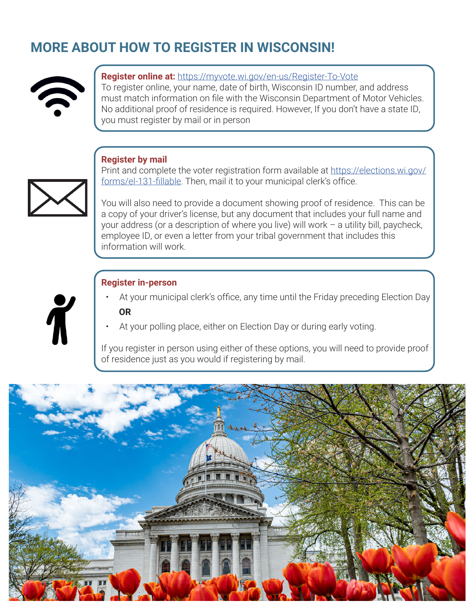## **MORE ABOUT HOW TO REGISTER IN WISCONSIN!**



#### **Register online at:** https://myvote.wi.gov/en-us/Register-To-Vote

To register online, your name, date of birth, Wisconsin ID number, and address must match information on file with the Wisconsin Department of Motor Vehicles. No additional proof of residence is required. However, If you don't have a state ID, you must register by mail or in person

#### **Register by mail**



Print and complete the voter registration form available at https://elections.wi.gov/ forms/el-131-fillable. Then, mail it to your municipal clerk's office.

You will also need to provide a document showing proof of residence. This can be a copy of your driver's license, but any document that includes your full name and your address (or a description of where you live) will work – a utility bill, paycheck, employee ID, or even a letter from your tribal government that includes this information will work.

#### **Register in-person**

- At your municipal clerk's office, any time until the Friday preceding Election Day **OR**
- At your polling place, either on Election Day or during early voting.

If you register in person using either of these options, you will need to provide proof of residence just as you would if registering by mail.